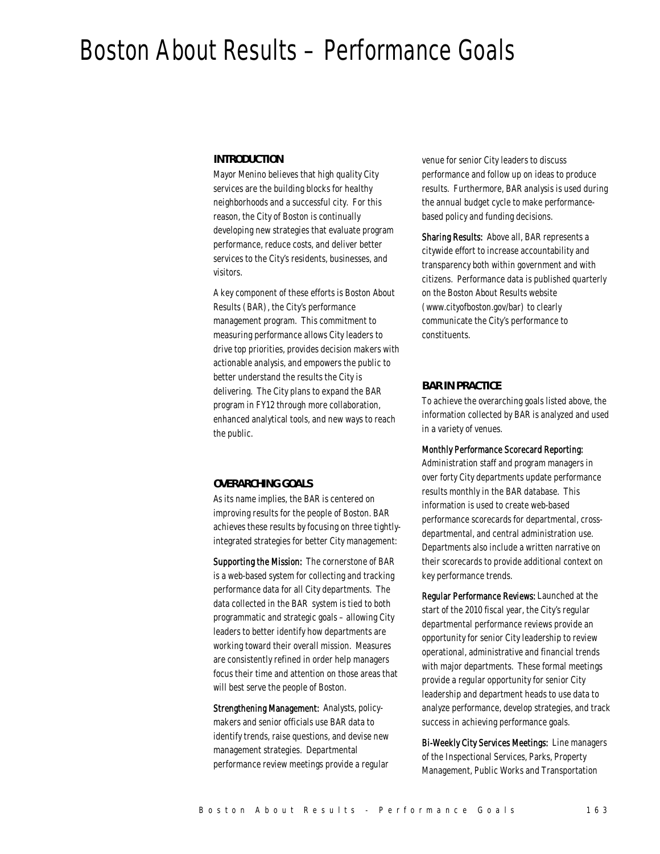# Boston About Results – Performance Goals

#### *INTRODUCTION*

Mayor Menino believes that high quality City services are the building blocks for healthy neighborhoods and a successful city. For this reason, the City of Boston is continually developing new strategies that evaluate program performance, reduce costs, and deliver better services to the City's residents, businesses, and visitors.

A key component of these efforts is Boston About Results (BAR), the City's performance management program. This commitment to measuring performance allows City leaders to drive top priorities, provides decision makers with actionable analysis, and empowers the public to better understand the results the City is delivering. The City plans to expand the BAR program in FY12 through more collaboration, enhanced analytical tools, and new ways to reach the public.

#### *OVERARCHING GOALS*

As its name implies, the BAR is centered on improving results for the people of Boston. BAR achieves these results by focusing on three tightlyintegrated strategies for better City management:

Supporting the Mission: The cornerstone of BAR is a web-based system for collecting and tracking performance data for all City departments. The data collected in the BAR system is tied to both programmatic and strategic goals – allowing City leaders to better identify how departments are working toward their overall mission. Measures are consistently refined in order help managers focus their time and attention on those areas that will best serve the people of Boston.

Strengthening Management: Analysts, policymakers and senior officials use BAR data to identify trends, raise questions, and devise new management strategies. Departmental performance review meetings provide a regular

venue for senior City leaders to discuss performance and follow up on ideas to produce results. Furthermore, BAR analysis is used during the annual budget cycle to make performancebased policy and funding decisions.

Sharing Results: Above all, BAR represents a citywide effort to increase accountability and transparency both within government and with citizens. Performance data is published quarterly on the Boston About Results website (www.cityofboston.gov/bar) to clearly communicate the City's performance to constituents.

#### *BAR IN PRACTICE*

To achieve the overarching goals listed above, the information collected by BAR is analyzed and used in a variety of venues.

#### Monthly Performance Scorecard Reporting:

Administration staff and program managers in over forty City departments update performance results monthly in the BAR database. This information is used to create web-based performance scorecards for departmental, crossdepartmental, and central administration use. Departments also include a written narrative on their scorecards to provide additional context on key performance trends.

Regular Performance Reviews: Launched at the start of the 2010 fiscal year, the City's regular departmental performance reviews provide an opportunity for senior City leadership to review operational, administrative and financial trends with major departments. These formal meetings provide a regular opportunity for senior City leadership and department heads to use data to analyze performance, develop strategies, and track success in achieving performance goals.

Bi-Weekly City Services Meetings: Line managers of the Inspectional Services, Parks, Property Management, Public Works and Transportation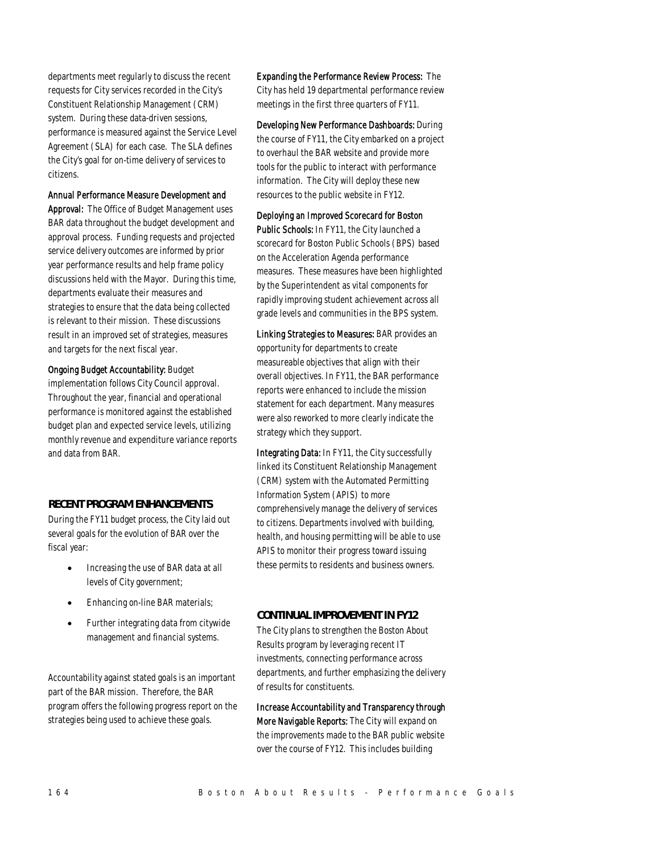departments meet regularly to discuss the recent requests for City services recorded in the City's Constituent Relationship Management (CRM) system. During these data-driven sessions, performance is measured against the Service Level Agreement (SLA) for each case. The SLA defines the City's goal for on-time delivery of services to citizens.

#### Annual Performance Measure Development and

Approval: The Office of Budget Management uses BAR data throughout the budget development and approval process. Funding requests and projected service delivery outcomes are informed by prior year performance results and help frame policy discussions held with the Mayor. During this time, departments evaluate their measures and strategies to ensure that the data being collected is relevant to their mission. These discussions result in an improved set of strategies, measures and targets for the next fiscal year.

Ongoing Budget Accountability: Budget

implementation follows City Council approval. Throughout the year, financial and operational performance is monitored against the established budget plan and expected service levels, utilizing monthly revenue and expenditure variance reports and data from BAR.

#### *RECENT PROGRAM ENHANCEMENTS*

During the FY11 budget process, the City laid out several goals for the evolution of BAR over the fiscal year:

- Increasing the use of BAR data at all levels of City government;
- Enhancing on-line BAR materials;
- Further integrating data from citywide management and financial systems.

Accountability against stated goals is an important part of the BAR mission. Therefore, the BAR program offers the following progress report on the strategies being used to achieve these goals.

Expanding the Performance Review Process: The City has held 19 departmental performance review meetings in the first three quarters of FY11.

Developing New Performance Dashboards: During the course of FY11, the City embarked on a project to overhaul the BAR website and provide more tools for the public to interact with performance information. The City will deploy these new resources to the public website in FY12.

#### Deploying an Improved Scorecard for Boston

Public Schools: In FY11, the City launched a scorecard for Boston Public Schools (BPS) based on the Acceleration Agenda performance measures. These measures have been highlighted by the Superintendent as vital components for rapidly improving student achievement across all grade levels and communities in the BPS system.

Linking Strategies to Measures: BAR provides an opportunity for departments to create measureable objectives that align with their overall objectives. In FY11, the BAR performance reports were enhanced to include the mission statement for each department. Many measures were also reworked to more clearly indicate the strategy which they support.

Integrating Data: In FY11, the City successfully linked its Constituent Relationship Management (CRM) system with the Automated Permitting Information System (APIS) to more comprehensively manage the delivery of services to citizens. Departments involved with building, health, and housing permitting will be able to use APIS to monitor their progress toward issuing these permits to residents and business owners.

### *CONTINUAL IMPROVEMENT IN FY12*

The City plans to strengthen the Boston About Results program by leveraging recent IT investments, connecting performance across departments, and further emphasizing the delivery of results for constituents.

Increase Accountability and Transparency through More Navigable Reports: The City will expand on the improvements made to the BAR public website over the course of FY12. This includes building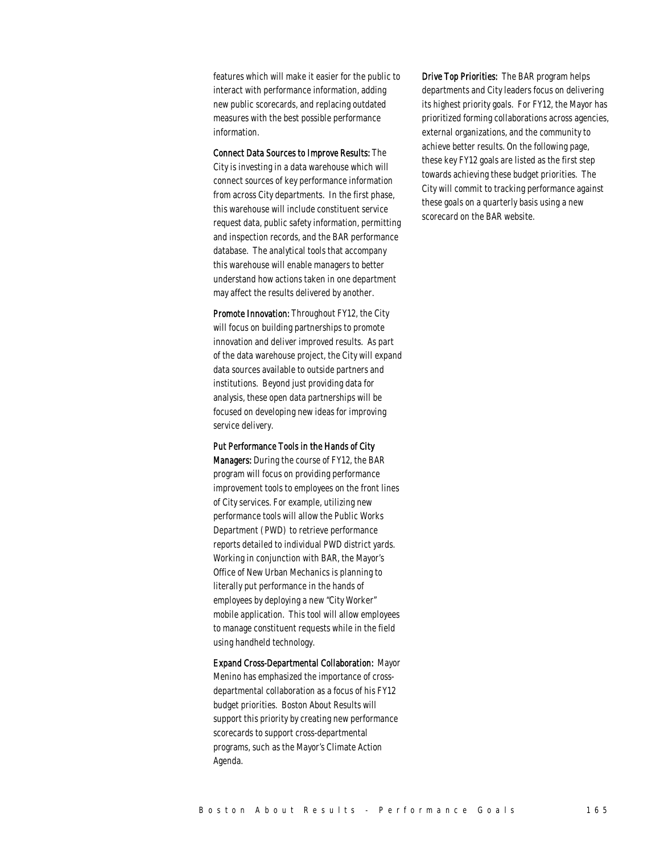features which will make it easier for the public to interact with performance information, adding new public scorecards, and replacing outdated measures with the best possible performance information.

Connect Data Sources to Improve Results: The City is investing in a data warehouse which will connect sources of key performance information from across City departments. In the first phase, this warehouse will include constituent service request data, public safety information, permitting and inspection records, and the BAR performance database. The analytical tools that accompany this warehouse will enable managers to better understand how actions taken in one department may affect the results delivered by another.

Promote Innovation: Throughout FY12, the City will focus on building partnerships to promote innovation and deliver improved results. As part of the data warehouse project, the City will expand data sources available to outside partners and institutions. Beyond just providing data for analysis, these open data partnerships will be focused on developing new ideas for improving service delivery.

Put Performance Tools in the Hands of City

Managers: During the course of FY12, the BAR program will focus on providing performance improvement tools to employees on the front lines of City services. For example, utilizing new performance tools will allow the Public Works Department (PWD) to retrieve performance reports detailed to individual PWD district yards. Working in conjunction with BAR, the Mayor's Office of New Urban Mechanics is planning to literally put performance in the hands of employees by deploying a new "City Worker" mobile application. This tool will allow employees to manage constituent requests while in the field using handheld technology.

Expand Cross-Departmental Collaboration: Mayor Menino has emphasized the importance of crossdepartmental collaboration as a focus of his FY12 budget priorities. Boston About Results will support this priority by creating new performance scorecards to support cross-departmental programs, such as the Mayor's Climate Action Agenda.

Drive Top Priorities: The BAR program helps departments and City leaders focus on delivering its highest priority goals. For FY12, the Mayor has prioritized forming collaborations across agencies, external organizations, and the community to achieve better results. On the following page, these key FY12 goals are listed as the first step towards achieving these budget priorities. The City will commit to tracking performance against these goals on a quarterly basis using a new scorecard on the BAR website.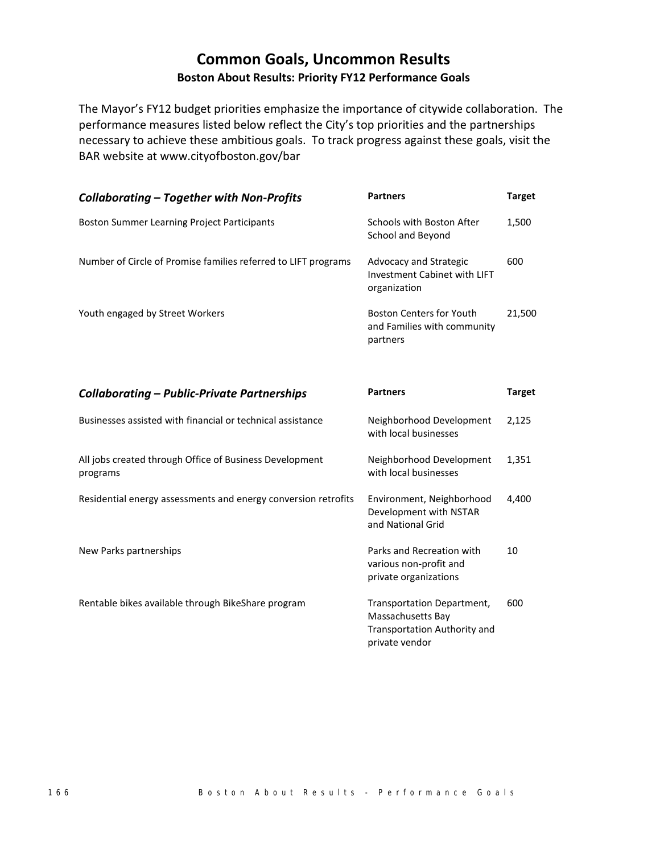## **Common Goals, Uncommon Results Boston About Results: Priority FY12 Performance Goals**

The Mayor's FY12 budget priorities emphasize the importance of citywide collaboration. The performance measures listed below reflect the City's top priorities and the partnerships necessary to achieve these ambitious goals. To track progress against these goals, visit the BAR website at www.cityofboston.gov/bar

| <b>Collaborating – Together with Non-Profits</b>               | <b>Partners</b>                                                            | <b>Target</b> |
|----------------------------------------------------------------|----------------------------------------------------------------------------|---------------|
| <b>Boston Summer Learning Project Participants</b>             | Schools with Boston After<br>School and Beyond                             | 1,500         |
| Number of Circle of Promise families referred to LIFT programs | Advocacy and Strategic<br>Investment Cabinet with LIFT<br>organization     | 600           |
| Youth engaged by Street Workers                                | <b>Boston Centers for Youth</b><br>and Families with community<br>partners | 21,500        |

| <b>Collaborating - Public-Private Partnerships</b>                  | <b>Partners</b>                                                                                   | <b>Target</b> |
|---------------------------------------------------------------------|---------------------------------------------------------------------------------------------------|---------------|
| Businesses assisted with financial or technical assistance          | Neighborhood Development<br>with local businesses                                                 | 2,125         |
| All jobs created through Office of Business Development<br>programs | Neighborhood Development<br>with local businesses                                                 | 1,351         |
| Residential energy assessments and energy conversion retrofits      | Environment, Neighborhood<br>Development with NSTAR<br>and National Grid                          | 4,400         |
| New Parks partnerships                                              | Parks and Recreation with<br>various non-profit and<br>private organizations                      | 10            |
| Rentable bikes available through BikeShare program                  | Transportation Department,<br>Massachusetts Bay<br>Transportation Authority and<br>private vendor | 600           |